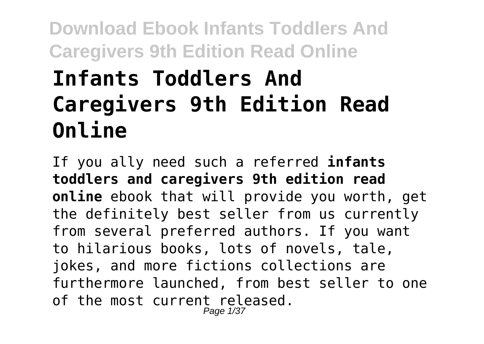# **Infants Toddlers And Caregivers 9th Edition Read Online**

If you ally need such a referred **infants toddlers and caregivers 9th edition read online** ebook that will provide you worth, get the definitely best seller from us currently from several preferred authors. If you want to hilarious books, lots of novels, tale, jokes, and more fictions collections are furthermore launched, from best seller to one of the most current released. Page 1/37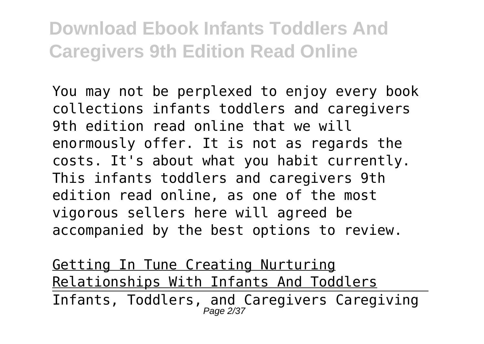You may not be perplexed to enjoy every book collections infants toddlers and caregivers 9th edition read online that we will enormously offer. It is not as regards the costs. It's about what you habit currently. This infants toddlers and caregivers 9th edition read online, as one of the most vigorous sellers here will agreed be accompanied by the best options to review.

Getting In Tune Creating Nurturing Relationships With Infants And Toddlers Infants, Toddlers, and Caregivers Caregiving<br>Page 2/37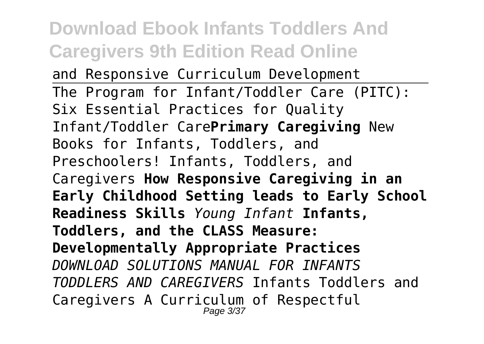and Responsive Curriculum Development The Program for Infant/Toddler Care (PITC): Six Essential Practices for Quality Infant/Toddler Care**Primary Caregiving** New Books for Infants, Toddlers, and Preschoolers! Infants, Toddlers, and Caregivers **How Responsive Caregiving in an Early Childhood Setting leads to Early School Readiness Skills** *Young Infant* **Infants, Toddlers, and the CLASS Measure: Developmentally Appropriate Practices** *DOWNLOAD SOLUTIONS MANUAL FOR INFANTS TODDLERS AND CAREGIVERS* Infants Toddlers and Caregivers A Curriculum of Respectful Page 3/37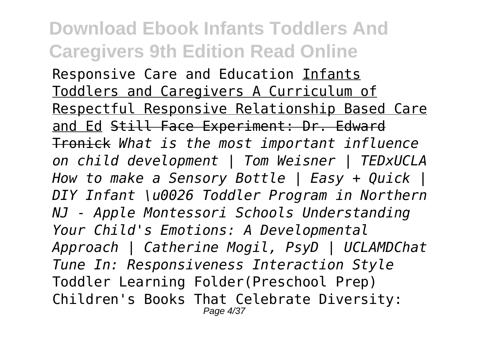Responsive Care and Education Infants Toddlers and Caregivers A Curriculum of Respectful Responsive Relationship Based Care and Ed Still Face Experiment: Dr. Edward Tronick *What is the most important influence on child development | Tom Weisner | TEDxUCLA How to make a Sensory Bottle | Easy + Quick | DIY Infant \u0026 Toddler Program in Northern NJ - Apple Montessori Schools Understanding Your Child's Emotions: A Developmental Approach | Catherine Mogil, PsyD | UCLAMDChat Tune In: Responsiveness Interaction Style* Toddler Learning Folder(Preschool Prep) Children's Books That Celebrate Diversity: Page 4/37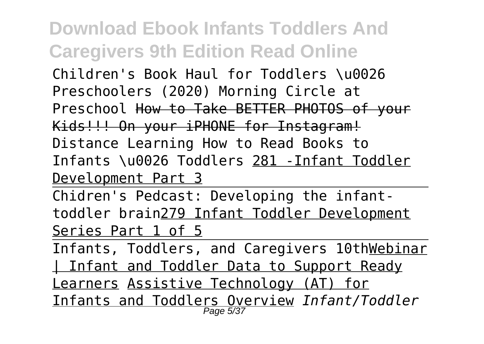Children's Book Haul for Toddlers \u0026 Preschoolers (2020) Morning Circle at Preschool How to Take BETTER PHOTOS of your Kids!!! On your iPHONE for Instagram! Distance Learning How to Read Books to Infants \u0026 Toddlers 281 -Infant Toddler Development Part 3

Chidren's Pedcast: Developing the infanttoddler brain279 Infant Toddler Development Series Part 1 of 5

Infants, Toddlers, and Caregivers 10thWebinar Infant and Toddler Data to Support Ready Learners Assistive Technology (AT) for Infants and Toddlers Overview *Infant/Toddler* Page 5/37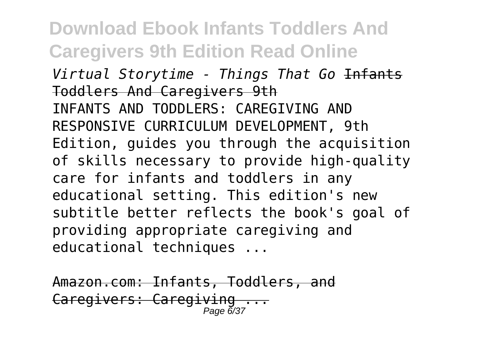**Download Ebook Infants Toddlers And Caregivers 9th Edition Read Online** *Virtual Storytime - Things That Go* Infants Toddlers And Caregivers 9th INFANTS AND TODDLERS: CAREGIVING AND RESPONSIVE CURRICULUM DEVELOPMENT, 9th Edition, guides you through the acquisition of skills necessary to provide high-quality care for infants and toddlers in any educational setting. This edition's new subtitle better reflects the book's goal of providing appropriate caregiving and educational techniques ...

Amazon.com: Infants, Toddlers, and Caregivers: Caregiving Page 6/37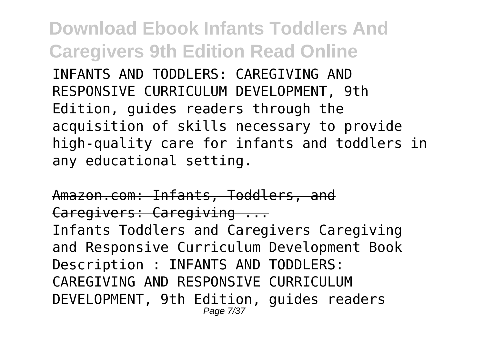**Download Ebook Infants Toddlers And Caregivers 9th Edition Read Online** INFANTS AND TODDLERS: CAREGIVING AND RESPONSIVE CURRICULUM DEVELOPMENT, 9th Edition, guides readers through the acquisition of skills necessary to provide high-quality care for infants and toddlers in any educational setting.

Amazon.com: Infants, Toddlers, and Caregivers: Caregiving ... Infants Toddlers and Caregivers Caregiving and Responsive Curriculum Development Book Description : INFANTS AND TODDLERS: CAREGIVING AND RESPONSIVE CURRICULUM DEVELOPMENT, 9th Edition, guides readers Page 7/37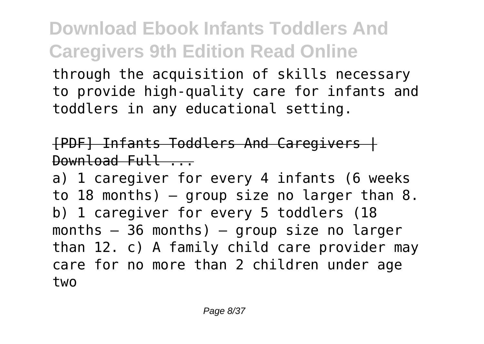through the acquisition of skills necessary to provide high-quality care for infants and toddlers in any educational setting.

#### [PDF] Infants Toddlers And Caregivers |  $Download$   $Full$

a) 1 caregiver for every 4 infants (6 weeks to 18 months)  $-$  group size no larger than 8. b) 1 caregiver for every 5 toddlers (18 months  $-36$  months)  $-$  group size no larger than 12. c) A family child care provider may care for no more than 2 children under age two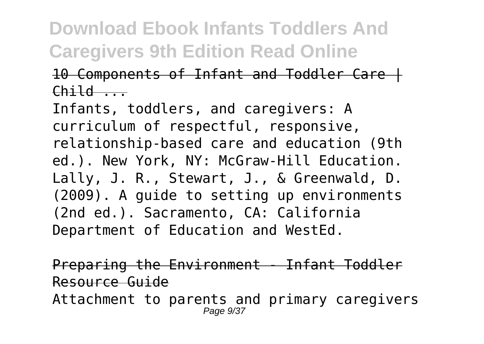#### 10 Components of Infant and Toddler Care |  $Child$   $\qquad$

Infants, toddlers, and caregivers: A curriculum of respectful, responsive, relationship-based care and education (9th ed.). New York, NY: McGraw-Hill Education. Lally, J. R., Stewart, J., & Greenwald, D. (2009). A guide to setting up environments (2nd ed.). Sacramento, CA: California Department of Education and WestEd.

Preparing the Environment - Infant Toddler Resource Guide Attachment to parents and primary caregivers Page  $9/37$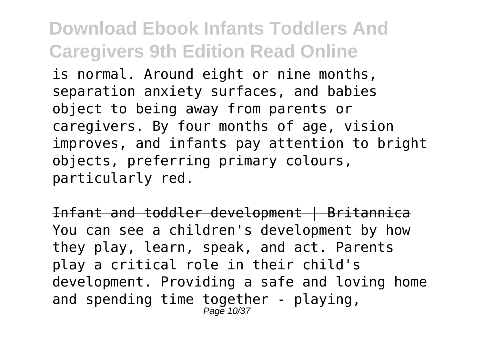is normal. Around eight or nine months, separation anxiety surfaces, and babies object to being away from parents or caregivers. By four months of age, vision improves, and infants pay attention to bright objects, preferring primary colours, particularly red.

Infant and toddler development | Britannica You can see a children's development by how they play, learn, speak, and act. Parents play a critical role in their child's development. Providing a safe and loving home and spending time together - playing,  $P$ age 10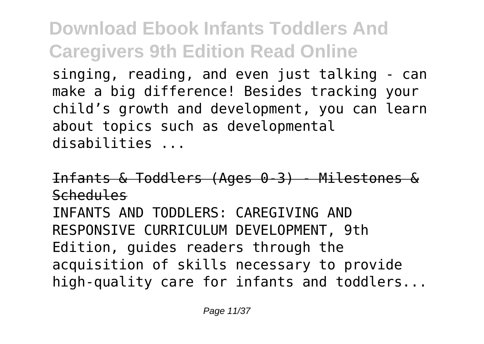singing, reading, and even just talking - can make a big difference! Besides tracking your child's growth and development, you can learn about topics such as developmental disabilities ...

Infants & Toddlers (Ages 0-3) - Milestones & Schedules INFANTS AND TODDLERS: CAREGIVING AND RESPONSIVE CURRICULUM DEVELOPMENT, 9th Edition, guides readers through the acquisition of skills necessary to provide high-quality care for infants and toddlers...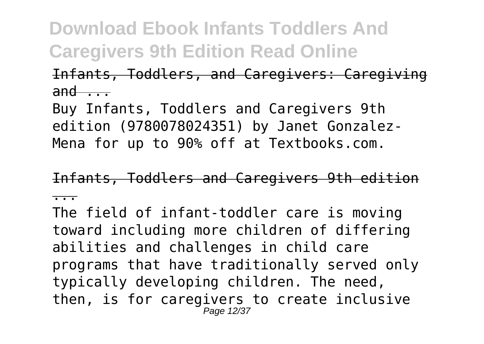#### Infants, Toddlers, and Caregivers: Caregiving  $and \nightharpoonup$

Buy Infants, Toddlers and Caregivers 9th edition (9780078024351) by Janet Gonzalez-Mena for up to 90% off at Textbooks.com.

Infants, Toddlers and Caregivers 9th edition

...

The field of infant-toddler care is moving toward including more children of differing abilities and challenges in child care programs that have traditionally served only typically developing children. The need, then, is for caregivers to create inclusive Page 12/37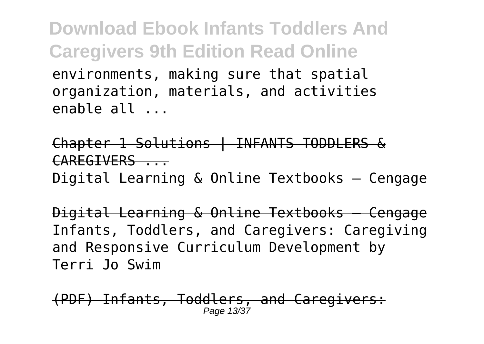**Download Ebook Infants Toddlers And Caregivers 9th Edition Read Online** environments, making sure that spatial organization, materials, and activities enable all ...

Chapter 1 Solutions | INFANTS TODDLERS & CAREGIVERS ...

Digital Learning & Online Textbooks – Cengage

Digital Learning & Online Textbooks – Cengage Infants, Toddlers, and Caregivers: Caregiving and Responsive Curriculum Development by Terri Jo Swim

(PDF) Infants, Toddlers, and Caregivers: Page 13/37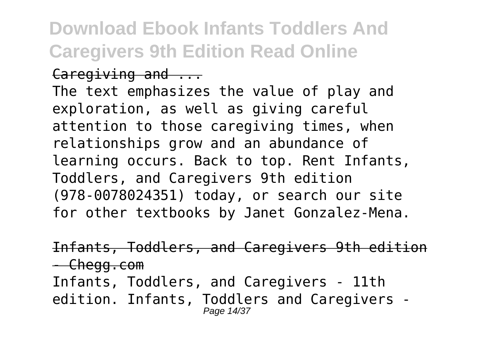Caregiving and ...

The text emphasizes the value of play and exploration, as well as giving careful attention to those caregiving times, when relationships grow and an abundance of learning occurs. Back to top. Rent Infants, Toddlers, and Caregivers 9th edition (978-0078024351) today, or search our site for other textbooks by Janet Gonzalez-Mena.

Infants, Toddlers, and Caregivers 9th edition - Chegg.com Infants, Toddlers, and Caregivers - 11th edition. Infants, Toddlers and Caregivers - Page 14/37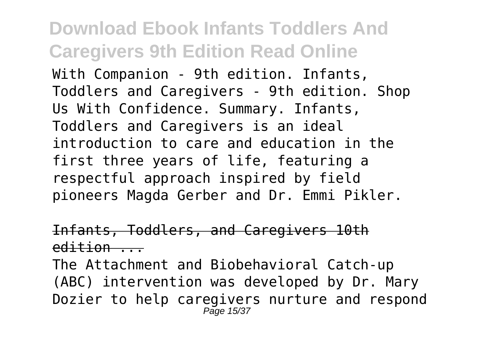With Companion - 9th edition. Infants, Toddlers and Caregivers - 9th edition. Shop Us With Confidence. Summary. Infants, Toddlers and Caregivers is an ideal introduction to care and education in the first three years of life, featuring a respectful approach inspired by field pioneers Magda Gerber and Dr. Emmi Pikler.

#### Infants, Toddlers, and Caregivers 10th  $edittion$

The Attachment and Biobehavioral Catch-up (ABC) intervention was developed by Dr. Mary Dozier to help caregivers nurture and respond Page 15/37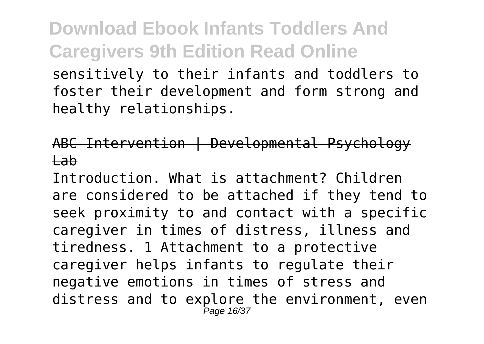sensitively to their infants and toddlers to foster their development and form strong and healthy relationships.

#### ABC Intervention | Developmental Psychology Lab

Introduction. What is attachment? Children are considered to be attached if they tend to seek proximity to and contact with a specific caregiver in times of distress, illness and tiredness. 1 Attachment to a protective caregiver helps infants to regulate their negative emotions in times of stress and distress and to explore the environment, even Page 16/37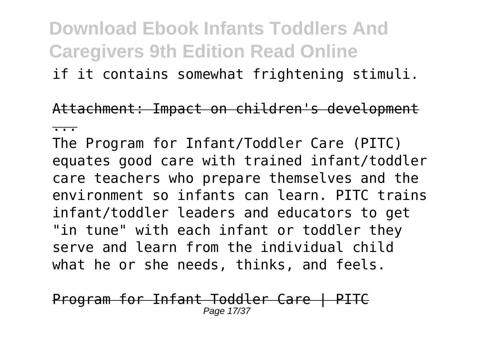if it contains somewhat frightening stimuli.

Attachment: Impact on children's development

...

The Program for Infant/Toddler Care (PITC) equates good care with trained infant/toddler care teachers who prepare themselves and the environment so infants can learn. PITC trains infant/toddler leaders and educators to get "in tune" with each infant or toddler they serve and learn from the individual child what he or she needs, thinks, and feels.

Program for Infant Toddler Care | PITC Page 17/37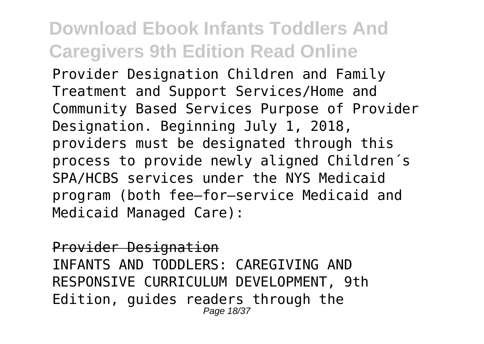Provider Designation Children and Family Treatment and Support Services/Home and Community Based Services Purpose of Provider Designation. Beginning July 1, 2018, providers must be designated through this process to provide newly aligned Children´s SPA/HCBS services under the NYS Medicaid program (both fee–for–service Medicaid and Medicaid Managed Care):

Provider Designation INFANTS AND TODDLERS: CAREGIVING AND RESPONSIVE CURRICULUM DEVELOPMENT, 9th Edition, guides readers through the Page 18/37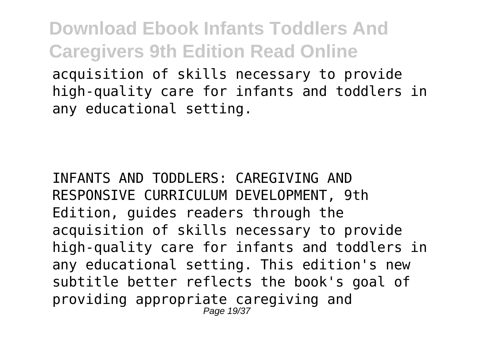**Download Ebook Infants Toddlers And Caregivers 9th Edition Read Online** acquisition of skills necessary to provide

high-quality care for infants and toddlers in any educational setting.

INFANTS AND TODDLERS: CAREGIVING AND RESPONSIVE CURRICULUM DEVELOPMENT, 9th Edition, guides readers through the acquisition of skills necessary to provide high-quality care for infants and toddlers in any educational setting. This edition's new subtitle better reflects the book's goal of providing appropriate caregiving and Page 19/37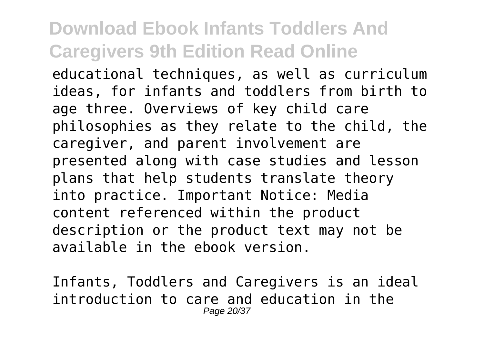educational techniques, as well as curriculum ideas, for infants and toddlers from birth to age three. Overviews of key child care philosophies as they relate to the child, the caregiver, and parent involvement are presented along with case studies and lesson plans that help students translate theory into practice. Important Notice: Media content referenced within the product description or the product text may not be available in the ebook version.

Infants, Toddlers and Caregivers is an ideal introduction to care and education in the Page 20/37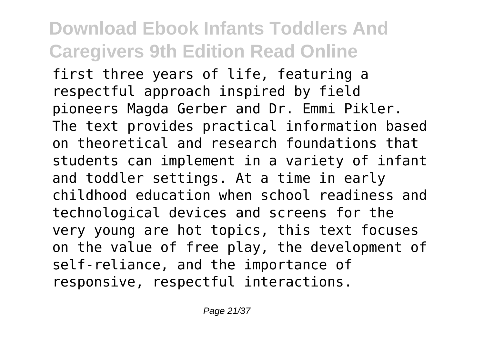first three years of life, featuring a respectful approach inspired by field pioneers Magda Gerber and Dr. Emmi Pikler. The text provides practical information based on theoretical and research foundations that students can implement in a variety of infant and toddler settings. At a time in early childhood education when school readiness and technological devices and screens for the very young are hot topics, this text focuses on the value of free play, the development of self-reliance, and the importance of responsive, respectful interactions.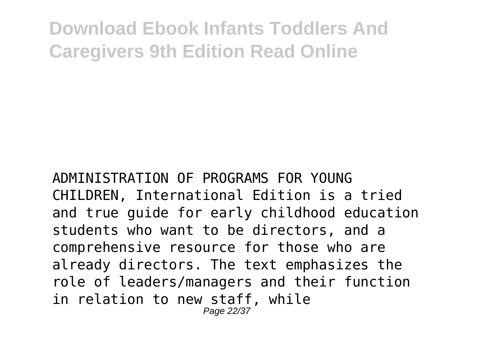ADMINISTRATION OF PROGRAMS FOR YOUNG CHILDREN, International Edition is a tried and true guide for early childhood education students who want to be directors, and a comprehensive resource for those who are already directors. The text emphasizes the role of leaders/managers and their function in relation to new staff, while Page 22/37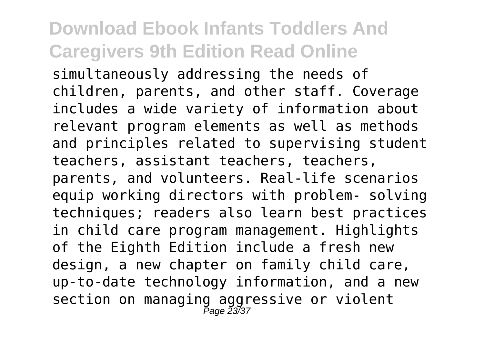simultaneously addressing the needs of children, parents, and other staff. Coverage includes a wide variety of information about relevant program elements as well as methods and principles related to supervising student teachers, assistant teachers, teachers, parents, and volunteers. Real-life scenarios equip working directors with problem- solving techniques; readers also learn best practices in child care program management. Highlights of the Eighth Edition include a fresh new design, a new chapter on family child care, up-to-date technology information, and a new section on managing aggressive or violent Page 23/37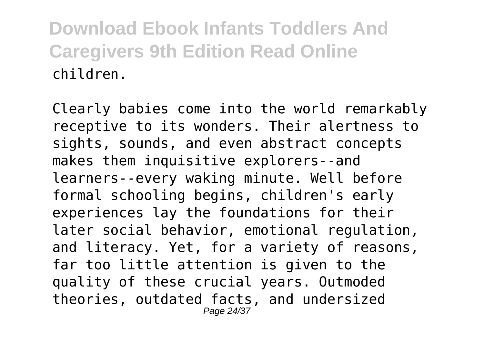Clearly babies come into the world remarkably receptive to its wonders. Their alertness to sights, sounds, and even abstract concepts makes them inquisitive explorers--and learners--every waking minute. Well before formal schooling begins, children's early experiences lay the foundations for their later social behavior, emotional regulation, and literacy. Yet, for a variety of reasons, far too little attention is given to the quality of these crucial years. Outmoded theories, outdated facts, and undersized Page 24/37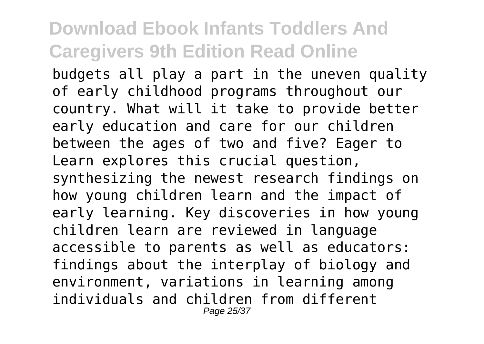budgets all play a part in the uneven quality of early childhood programs throughout our country. What will it take to provide better early education and care for our children between the ages of two and five? Eager to Learn explores this crucial question, synthesizing the newest research findings on how young children learn and the impact of early learning. Key discoveries in how young children learn are reviewed in language accessible to parents as well as educators: findings about the interplay of biology and environment, variations in learning among individuals and children from different Page 25/37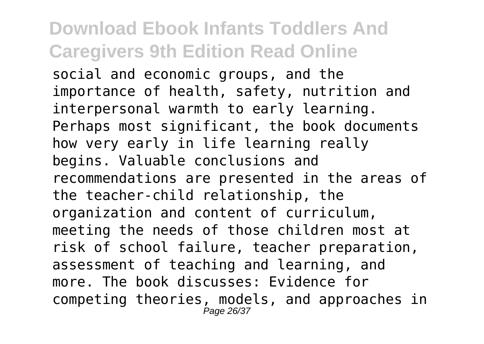social and economic groups, and the importance of health, safety, nutrition and interpersonal warmth to early learning. Perhaps most significant, the book documents how very early in life learning really begins. Valuable conclusions and recommendations are presented in the areas of the teacher-child relationship, the organization and content of curriculum, meeting the needs of those children most at risk of school failure, teacher preparation, assessment of teaching and learning, and more. The book discusses: Evidence for competing theories, models, and approaches in Page 26/37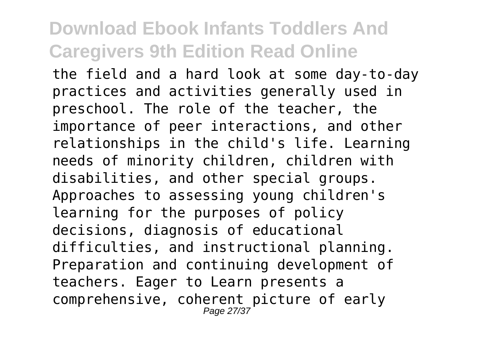the field and a hard look at some day-to-day practices and activities generally used in preschool. The role of the teacher, the importance of peer interactions, and other relationships in the child's life. Learning needs of minority children, children with disabilities, and other special groups. Approaches to assessing young children's learning for the purposes of policy decisions, diagnosis of educational difficulties, and instructional planning. Preparation and continuing development of teachers. Eager to Learn presents a comprehensive, coherent picture of early Page 27/37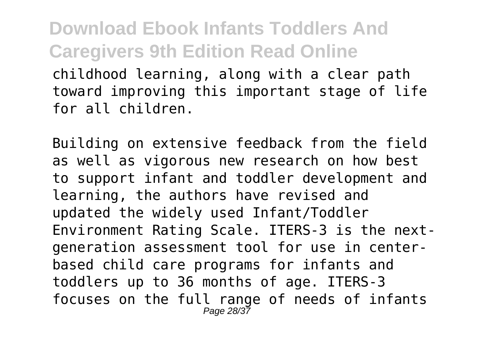childhood learning, along with a clear path toward improving this important stage of life for all children.

Building on extensive feedback from the field as well as vigorous new research on how best to support infant and toddler development and learning, the authors have revised and updated the widely used Infant/Toddler Environment Rating Scale. ITERS-3 is the nextgeneration assessment tool for use in centerbased child care programs for infants and toddlers up to 36 months of age. ITERS-3 focuses on the full range of needs of infants Page 28/37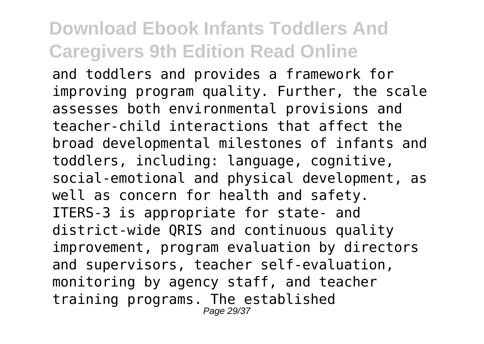and toddlers and provides a framework for improving program quality. Further, the scale assesses both environmental provisions and teacher-child interactions that affect the broad developmental milestones of infants and toddlers, including: language, cognitive, social-emotional and physical development, as well as concern for health and safety. ITERS-3 is appropriate for state- and district-wide QRIS and continuous quality improvement, program evaluation by directors and supervisors, teacher self-evaluation, monitoring by agency staff, and teacher training programs. The established Page 29/37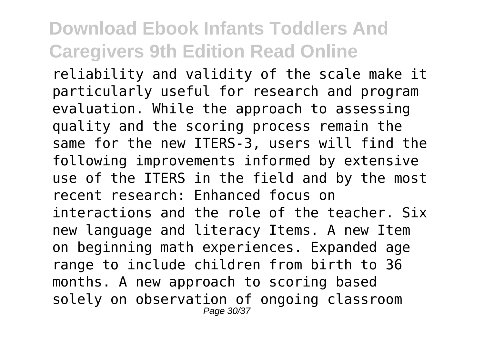reliability and validity of the scale make it particularly useful for research and program evaluation. While the approach to assessing quality and the scoring process remain the same for the new ITERS-3, users will find the following improvements informed by extensive use of the ITERS in the field and by the most recent research: Enhanced focus on interactions and the role of the teacher. Six new language and literacy Items. A new Item on beginning math experiences. Expanded age range to include children from birth to 36 months. A new approach to scoring based solely on observation of ongoing classroom Page 30/37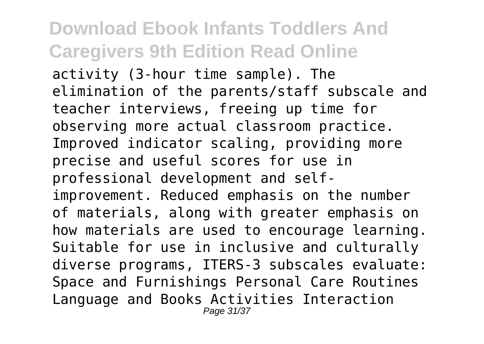activity (3-hour time sample). The elimination of the parents/staff subscale and teacher interviews, freeing up time for observing more actual classroom practice. Improved indicator scaling, providing more precise and useful scores for use in professional development and selfimprovement. Reduced emphasis on the number of materials, along with greater emphasis on how materials are used to encourage learning. Suitable for use in inclusive and culturally diverse programs, ITERS-3 subscales evaluate: Space and Furnishings Personal Care Routines Language and Books Activities Interaction Page 31/37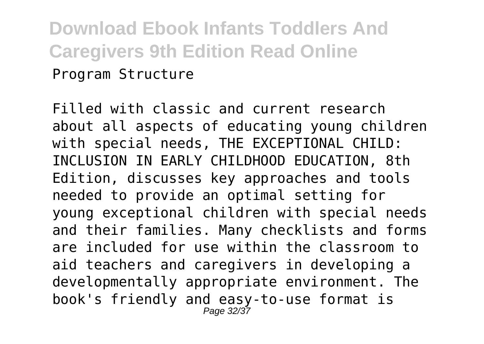### **Download Ebook Infants Toddlers And Caregivers 9th Edition Read Online** Program Structure

Filled with classic and current research about all aspects of educating young children with special needs, THE EXCEPTIONAL CHILD: INCLUSION IN EARLY CHILDHOOD EDUCATION, 8th Edition, discusses key approaches and tools needed to provide an optimal setting for young exceptional children with special needs and their families. Many checklists and forms are included for use within the classroom to aid teachers and caregivers in developing a developmentally appropriate environment. The book's friendly and easy-to-use format is Page 32/37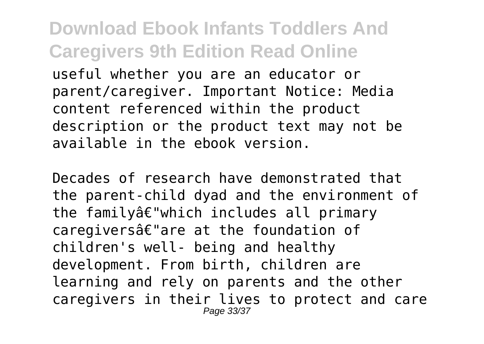useful whether you are an educator or parent/caregiver. Important Notice: Media content referenced within the product description or the product text may not be available in the ebook version.

Decades of research have demonstrated that the parent-child dyad and the environment of the familyâ€"which includes all primary caregiversâ€"are at the foundation of children's well- being and healthy development. From birth, children are learning and rely on parents and the other caregivers in their lives to protect and care Page 33/37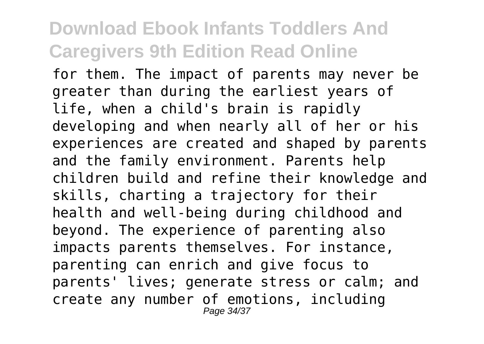for them. The impact of parents may never be greater than during the earliest years of life, when a child's brain is rapidly developing and when nearly all of her or his experiences are created and shaped by parents and the family environment. Parents help children build and refine their knowledge and skills, charting a trajectory for their health and well-being during childhood and beyond. The experience of parenting also impacts parents themselves. For instance, parenting can enrich and give focus to parents' lives; generate stress or calm; and create any number of emotions, including Page 34/37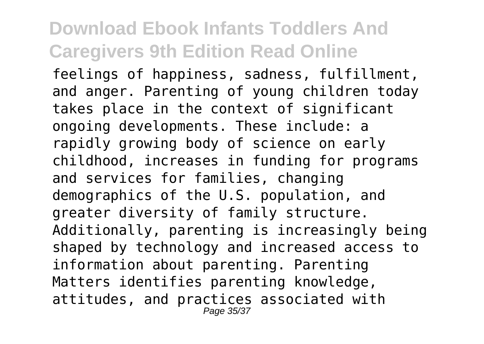feelings of happiness, sadness, fulfillment, and anger. Parenting of young children today takes place in the context of significant ongoing developments. These include: a rapidly growing body of science on early childhood, increases in funding for programs and services for families, changing demographics of the U.S. population, and greater diversity of family structure. Additionally, parenting is increasingly being shaped by technology and increased access to information about parenting. Parenting Matters identifies parenting knowledge, attitudes, and practices associated with Page 35/37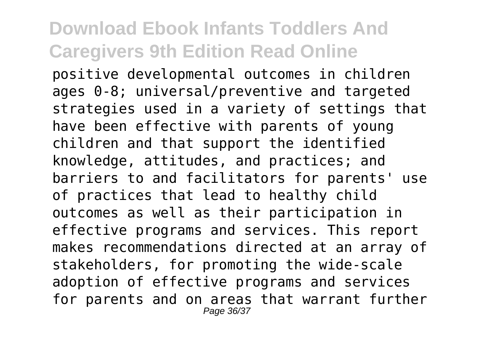positive developmental outcomes in children ages 0-8; universal/preventive and targeted strategies used in a variety of settings that have been effective with parents of young children and that support the identified knowledge, attitudes, and practices; and barriers to and facilitators for parents' use of practices that lead to healthy child outcomes as well as their participation in effective programs and services. This report makes recommendations directed at an array of stakeholders, for promoting the wide-scale adoption of effective programs and services for parents and on areas that warrant further Page 36/37